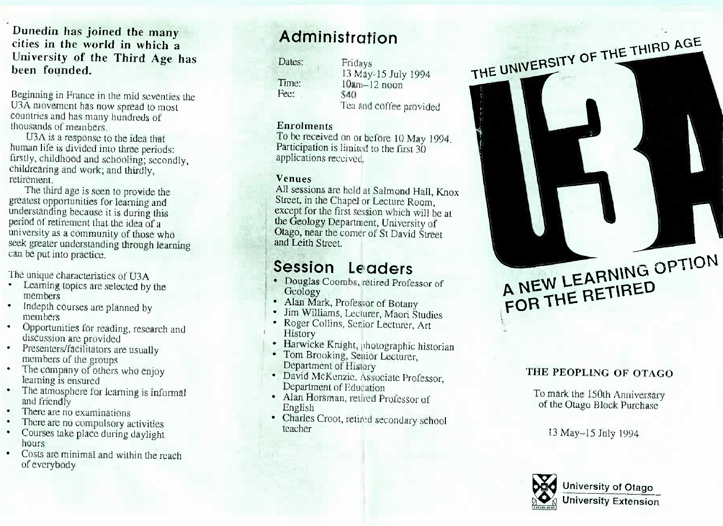### **cities in the world in which a** University of the Third Age ha **been** founded.

and the position of the property of the J3A movement has now spread to most countries and has many hundreds of housands of members housands of members.<br>U3A is a response to the idea that

an life is divided into three period irstly, childhood and schooling; second hildrearing and work; and thirdly, retirement etirement.<br>The third age is seen to provide.

est opportunities for learning and mderstanding because it is during this eriod of retirement that the idea of a miversity as a community of those wh eek greater understanding through learni an be put into practice. g through learnin

e put int o practice.

- Learning topics are selected by members iembers<br>idepth courses are planned b
- members.  $\mathbf s$  courses are  $\mathbf s$
- iembers<br>)pportunities for reading -resear  $\bullet$ discussion are provided
- resenters/facilitators are • members of the groups e usuall
- lembers of the groups<br>he company of others who enjoy learning is ensured
- arning is ensured<br>he atmosphere for learning is infor and friendly
- here are no exa
- There are no compulsory acti
- $\bullet$ • Courses take place during daylight hours hours<br>Costs are minimal and within the real
- of everybody

# **Administration**

Dates:

Time:<br>Fee:  $\cdot$ 

13 May-15 July 1994<br>10an - 12 noon  $\frac{13 \text{ mag}}{20}$  noon <sub>140</sub><br>I'ea and coffee provided

**Extractments**<br> **Co** be received on or before 10 May 1994. Participation is limited to the first  $30$ notications received applications received.

**XII** sessions are held at Salmond Hall, Knox All sessions are held at Bannond Hall, Knox xcept for the first session which will be at he Geology Department, University of Nago, near the corner of St David Street and Leith Street. d Leith Street.

# **Session Leader**

- Geology **s**• Douglas Coombs, retired Professor of
- icology<br>Jan Mark Professor of
- im Williams, Lecturer, Maori Stu oger Collins, Senior Lecturer, Art
- roger Collins, Senior Lecturer, Art
- larwicke Knight, photographic historian
- In the Energie, photographic The Brooking, Senior Ecclusion,
- epartment of History<br>avid McKenzie, Associate Professor, epartment of Education
- replannent of Education<br>Ian Horsman, retired Professor of English
- naries Croot, retired secondary school<br>acher teacher

### **THE PEOPLING OF OTAGO**

A NEW LEARNING OPTION

A NEW LEARNING

 $\epsilon$  THIM

**P**

o mark the 150th Anniversary of the Otago Block Purchase

13 May-15 July 199

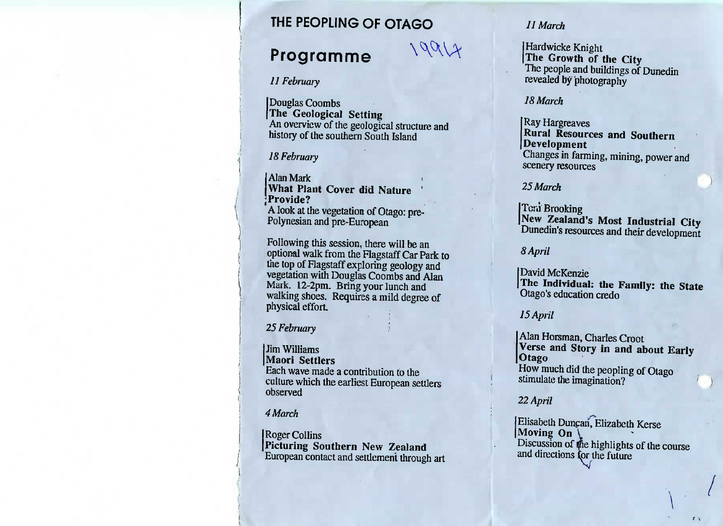### **THE PEOPLING OF OTAGO**

### **Programme**

# $19917$

## *11 February*

Douglas Coombs The Geological Setting An overview of the geologic An overview of the geological structure and<br>history of the southern South Island history of the southern South Island

### 18 February

**Alan Mark** What Plant Cover did Nature **What Plant Cover did NatureProvident** I he vegetation of Otago: p 'A look at the vegetation of Otago: pre-Polynesian and pre-European

Following this session, there will be an optional walk from the Flagstaff Car Park to process walk from the Flagstaff Car Park to vegetation with Douglas Coombs and Alan Mark. 12-2pm. Bring your lunch and  $\frac{12.2 \text{ F} \cdot \text{m}}{2000 \text{ F} \cdot \text{m}}$  because  $\frac{12.2 \text{ F} \cdot \text{m}}{2000 \text{ F} \cdot \text{m}}$ physical effort. physical efforts.

## 25 *February*

**Jim Williams Maori Settlers** ach wave made a Figure made a contribution to the<br>Ilture which the earliest European settlers<br>Served observed

#### 4 March

**Roger Collins** icturing Sou **I Produce and Southern New Zealand** 

#### *11 March*

Hardwicke Knight **The Growth of the City**I he people and buildings of Dunedin revealed by photography

#### *18 March*

Ray Hargreaves **Rural Resources and SouthernDevelopment** Changes in farming, mining, power andscenery resources

#### 25 *March*

Tcni Brooking **New Zealand's Most Industrial City**Dunedin's resources and their development

#### *8 April*

David McKenzie **The Individual: the Family: the State**Otago's education credo

#### *15 April*

Alan Horsman, Charles Croot **Verse and Story in and about EarlyOtago** How much did the peopling of Otagostimulate the imagination?

#### *22 April*

Elisabeth Duncan, Elizabeth Kerse  $\frac{1}{\text{S}c}$  iscussion of the highlights of the course and directions for the future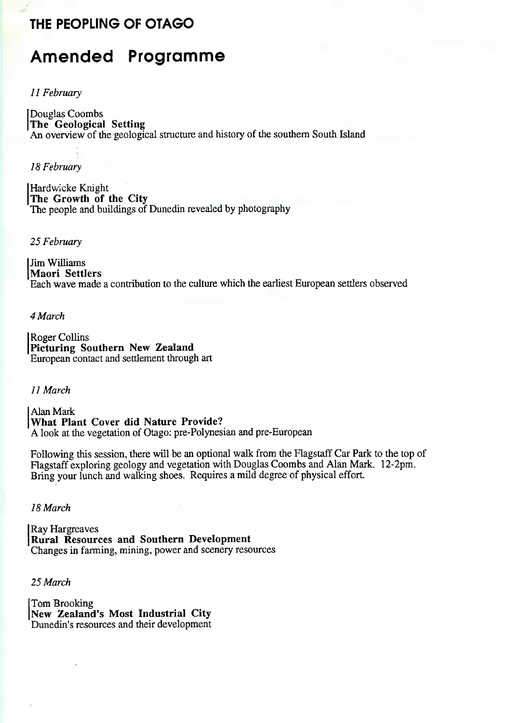### **THE PEOPLING OF OTAGO**

## **Amended Programme**

#### *11 February*

Douglas Coombs **The Geological Setting** An overview of the geological structure and history of the southern South Island

*18 February*

Hardwicke Knight **The Growth of the City** The people and buildings of Dunedin revealed by photography

#### 25 *February*

Jim Williams **Maori Settlers** Each wave made a contribution to the culture which the earliest European settlers observed

*4 March*

Roger Collins **Picturing Southern New Zealand** European contact and settlement through art

7 / *March*

Alan Mark **What Plant Cover did Nature Provide?** A look at the vegetation of Otago: pre-Polynesian and pre-European

Following this session, there will be an optional walk from the Flagstaff Car Park to the top of Flagstaff exploring geology and vegetation with Douglas Coombs and Alan Mark. 12-2pm. Bring your lunch and walking shoes. Requires a mild degree of physical effort.

*18 March*

Ray Hargreaves **Rural Resources and Southern Development** Changes in farming, mining, power and scenery resources

25 *March*

Tom Brooking **New Zealand's Most Industrial City** Dunedin's resources and their development